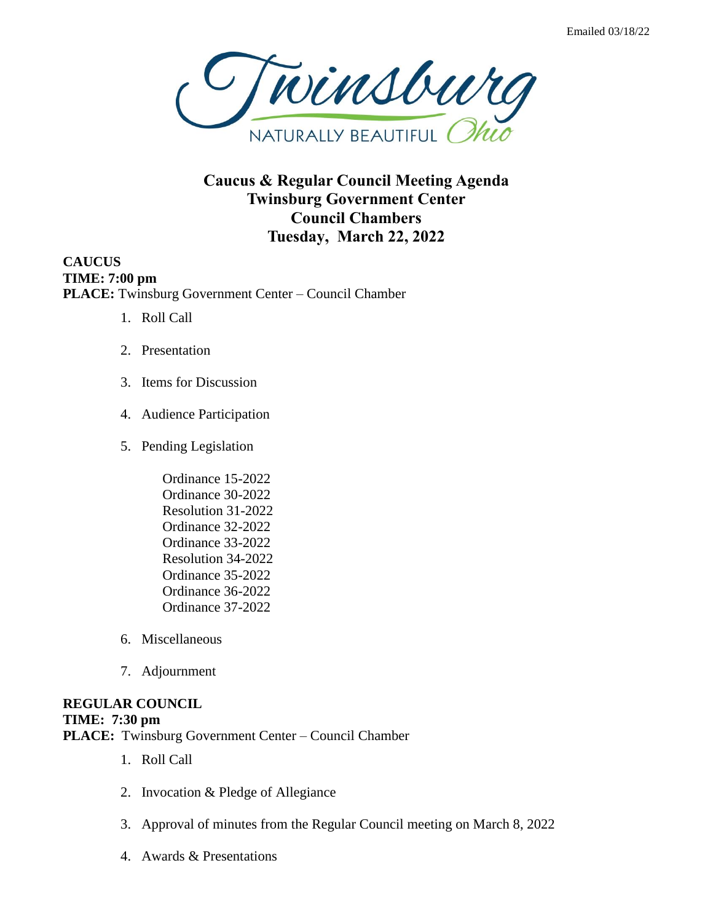

**Caucus & Regular Council Meeting Agenda Twinsburg Government Center Council Chambers Tuesday, March 22, 2022**

**CAUCUS TIME: 7:00 pm PLACE:** Twinsburg Government Center – Council Chamber

- 1. Roll Call
- 2. Presentation
- 3. Items for Discussion
- 4. Audience Participation
- 5. Pending Legislation
	- Ordinance 15-2022 Ordinance 30-2022 Resolution 31-2022 Ordinance 32-2022 Ordinance 33-2022 Resolution 34-2022 Ordinance 35-2022 Ordinance 36-2022 Ordinance 37-2022
- 6. Miscellaneous
- 7. Adjournment

# **REGULAR COUNCIL**

#### **TIME: 7:30 pm**

**PLACE:** Twinsburg Government Center – Council Chamber

- 1. Roll Call
- 2. Invocation & Pledge of Allegiance
- 3. Approval of minutes from the Regular Council meeting on March 8, 2022
- 4. Awards & Presentations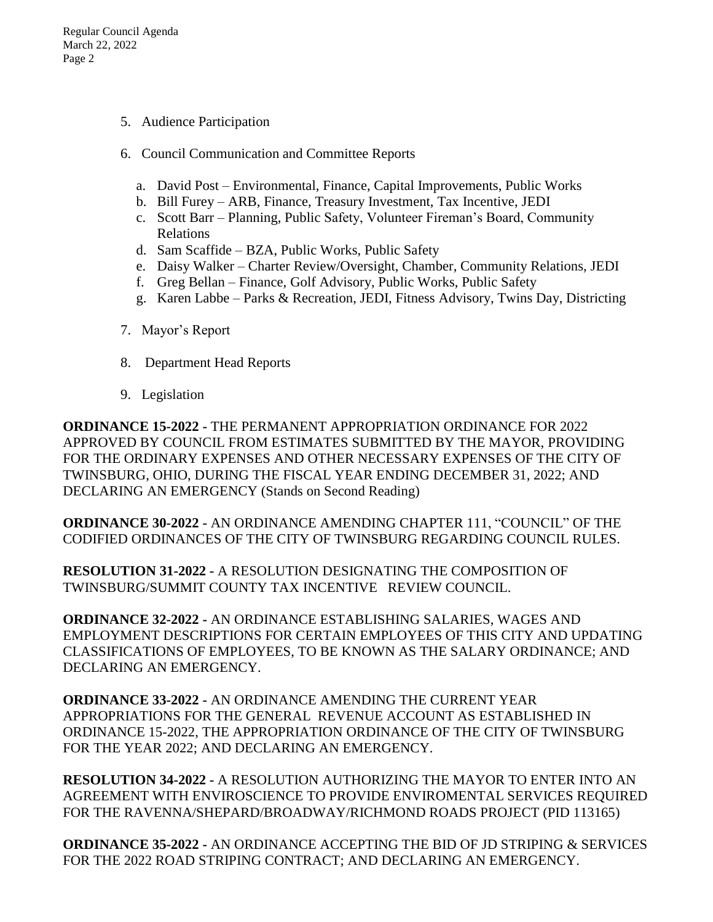- 5. Audience Participation
- 6. Council Communication and Committee Reports
	- a. David Post Environmental, Finance, Capital Improvements, Public Works
	- b. Bill Furey ARB, Finance, Treasury Investment, Tax Incentive, JEDI
	- c. Scott Barr Planning, Public Safety, Volunteer Fireman's Board, Community Relations
	- d. Sam Scaffide BZA, Public Works, Public Safety
	- e. Daisy Walker Charter Review/Oversight, Chamber, Community Relations, JEDI
	- f. Greg Bellan Finance, Golf Advisory, Public Works, Public Safety
	- g. Karen Labbe Parks & Recreation, JEDI, Fitness Advisory, Twins Day, Districting
- 7. Mayor's Report
- 8. Department Head Reports
- 9. Legislation

**ORDINANCE 15-2022 -** THE PERMANENT APPROPRIATION ORDINANCE FOR 2022 APPROVED BY COUNCIL FROM ESTIMATES SUBMITTED BY THE MAYOR, PROVIDING FOR THE ORDINARY EXPENSES AND OTHER NECESSARY EXPENSES OF THE CITY OF TWINSBURG, OHIO, DURING THE FISCAL YEAR ENDING DECEMBER 31, 2022; AND DECLARING AN EMERGENCY (Stands on Second Reading)

**ORDINANCE 30-2022 -** AN ORDINANCE AMENDING CHAPTER 111, "COUNCIL" OF THE CODIFIED ORDINANCES OF THE CITY OF TWINSBURG REGARDING COUNCIL RULES.

**RESOLUTION 31-2022 -** A RESOLUTION DESIGNATING THE COMPOSITION OF TWINSBURG/SUMMIT COUNTY TAX INCENTIVE REVIEW COUNCIL.

**ORDINANCE 32-2022 -** AN ORDINANCE ESTABLISHING SALARIES, WAGES AND EMPLOYMENT DESCRIPTIONS FOR CERTAIN EMPLOYEES OF THIS CITY AND UPDATING CLASSIFICATIONS OF EMPLOYEES, TO BE KNOWN AS THE SALARY ORDINANCE; AND DECLARING AN EMERGENCY.

**ORDINANCE 33-2022 -** AN ORDINANCE AMENDING THE CURRENT YEAR APPROPRIATIONS FOR THE GENERAL REVENUE ACCOUNT AS ESTABLISHED IN ORDINANCE 15-2022, THE APPROPRIATION ORDINANCE OF THE CITY OF TWINSBURG FOR THE YEAR 2022; AND DECLARING AN EMERGENCY.

**RESOLUTION 34-2022 -** A RESOLUTION AUTHORIZING THE MAYOR TO ENTER INTO AN AGREEMENT WITH ENVIROSCIENCE TO PROVIDE ENVIROMENTAL SERVICES REQUIRED FOR THE RAVENNA/SHEPARD/BROADWAY/RICHMOND ROADS PROJECT (PID 113165)

**ORDINANCE 35-2022 -** AN ORDINANCE ACCEPTING THE BID OF JD STRIPING & SERVICES FOR THE 2022 ROAD STRIPING CONTRACT; AND DECLARING AN EMERGENCY.